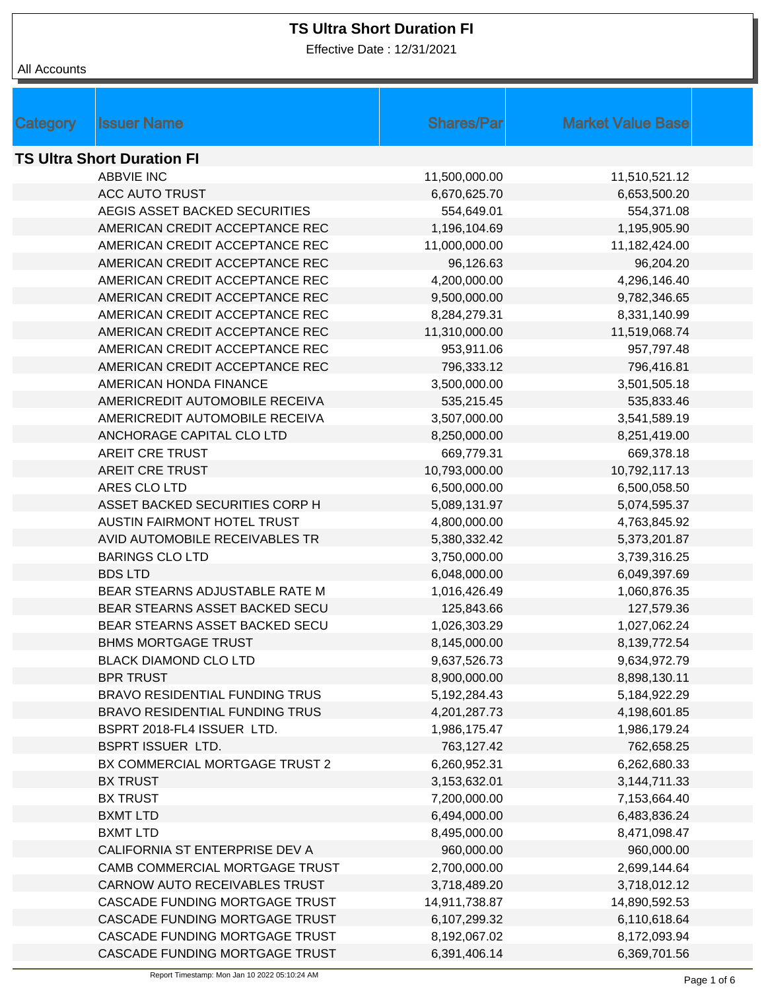Effective Date : 12/31/2021

| <b>Market Value Base</b><br><b>Category</b><br><b>Issuer Name</b><br><b>Shares/Par</b><br><b>TS Ultra Short Duration FI</b><br><b>ABBVIE INC</b><br>11,500,000.00<br>11,510,521.12<br><b>ACC AUTO TRUST</b><br>6,670,625.70<br>6,653,500.20<br>AEGIS ASSET BACKED SECURITIES<br>554,649.01<br>554,371.08<br>AMERICAN CREDIT ACCEPTANCE REC<br>1,196,104.69<br>1,195,905.90<br>AMERICAN CREDIT ACCEPTANCE REC<br>11,000,000.00<br>11,182,424.00<br>AMERICAN CREDIT ACCEPTANCE REC<br>96,126.63<br>96,204.20<br>AMERICAN CREDIT ACCEPTANCE REC<br>4,200,000.00<br>4,296,146.40<br>AMERICAN CREDIT ACCEPTANCE REC<br>9,500,000.00<br>9,782,346.65<br>AMERICAN CREDIT ACCEPTANCE REC<br>8,284,279.31<br>8,331,140.99<br>AMERICAN CREDIT ACCEPTANCE REC<br>11,310,000.00<br>11,519,068.74<br>AMERICAN CREDIT ACCEPTANCE REC<br>953,911.06<br>957,797.48<br>AMERICAN CREDIT ACCEPTANCE REC<br>796,333.12<br>796,416.81<br>3,500,000.00<br>AMERICAN HONDA FINANCE<br>3,501,505.18<br>AMERICREDIT AUTOMOBILE RECEIVA<br>535,215.45<br>535,833.46<br>AMERICREDIT AUTOMOBILE RECEIVA<br>3,507,000.00<br>3,541,589.19<br>ANCHORAGE CAPITAL CLO LTD<br>8,250,000.00<br>8,251,419.00<br><b>AREIT CRE TRUST</b><br>669,779.31<br>669,378.18<br><b>AREIT CRE TRUST</b><br>10,793,000.00<br>10,792,117.13<br>ARES CLO LTD<br>6,500,000.00<br>6,500,058.50<br>ASSET BACKED SECURITIES CORP H<br>5,089,131.97<br>5,074,595.37<br>AUSTIN FAIRMONT HOTEL TRUST<br>4,800,000.00<br>4,763,845.92<br>5,380,332.42<br>AVID AUTOMOBILE RECEIVABLES TR<br>5,373,201.87<br><b>BARINGS CLO LTD</b><br>3,750,000.00<br>3,739,316.25<br><b>BDS LTD</b><br>6,048,000.00<br>6,049,397.69<br>BEAR STEARNS ADJUSTABLE RATE M<br>1,016,426.49<br>1,060,876.35<br>BEAR STEARNS ASSET BACKED SECU<br>125,843.66<br>127,579.36<br>BEAR STEARNS ASSET BACKED SECU<br>1,026,303.29<br>1,027,062.24<br><b>BHMS MORTGAGE TRUST</b><br>8,145,000.00<br>8,139,772.54<br><b>BLACK DIAMOND CLO LTD</b><br>9,637,526.73<br>9,634,972.79<br><b>BPR TRUST</b><br>8,900,000.00<br>8,898,130.11<br><b>BRAVO RESIDENTIAL FUNDING TRUS</b><br>5,192,284.43<br>5,184,922.29<br><b>BRAVO RESIDENTIAL FUNDING TRUS</b><br>4,201,287.73<br>4,198,601.85<br>BSPRT 2018-FL4 ISSUER LTD.<br>1,986,175.47<br>1,986,179.24<br>BSPRT ISSUER LTD.<br>763,127.42<br>762,658.25<br>BX COMMERCIAL MORTGAGE TRUST 2<br>6,260,952.31<br>6,262,680.33<br><b>BX TRUST</b><br>3,153,632.01<br>3,144,711.33<br><b>BX TRUST</b><br>7,200,000.00<br>7,153,664.40<br><b>BXMT LTD</b><br>6,494,000.00<br>6,483,836.24<br><b>BXMT LTD</b><br>8,495,000.00<br>8,471,098.47<br>CALIFORNIA ST ENTERPRISE DEV A<br>960,000.00<br>960,000.00<br>CAMB COMMERCIAL MORTGAGE TRUST<br>2,700,000.00<br>2,699,144.64<br>CARNOW AUTO RECEIVABLES TRUST<br>3,718,489.20<br>3,718,012.12<br>CASCADE FUNDING MORTGAGE TRUST<br>14,911,738.87<br>14,890,592.53<br>CASCADE FUNDING MORTGAGE TRUST<br>6,107,299.32<br>6,110,618.64<br>CASCADE FUNDING MORTGAGE TRUST<br>8,192,067.02<br>8,172,093.94<br>CASCADE FUNDING MORTGAGE TRUST<br>6,391,406.14<br>6,369,701.56 |  |  |  |  |  |  |  |
|------------------------------------------------------------------------------------------------------------------------------------------------------------------------------------------------------------------------------------------------------------------------------------------------------------------------------------------------------------------------------------------------------------------------------------------------------------------------------------------------------------------------------------------------------------------------------------------------------------------------------------------------------------------------------------------------------------------------------------------------------------------------------------------------------------------------------------------------------------------------------------------------------------------------------------------------------------------------------------------------------------------------------------------------------------------------------------------------------------------------------------------------------------------------------------------------------------------------------------------------------------------------------------------------------------------------------------------------------------------------------------------------------------------------------------------------------------------------------------------------------------------------------------------------------------------------------------------------------------------------------------------------------------------------------------------------------------------------------------------------------------------------------------------------------------------------------------------------------------------------------------------------------------------------------------------------------------------------------------------------------------------------------------------------------------------------------------------------------------------------------------------------------------------------------------------------------------------------------------------------------------------------------------------------------------------------------------------------------------------------------------------------------------------------------------------------------------------------------------------------------------------------------------------------------------------------------------------------------------------------------------------------------------------------------------------------------------------------------------------------------------------------------------------------------------------------------------------------------------------------------------------------------------------------------------------------------------------------------------------------------------------------------------------------------------------------|--|--|--|--|--|--|--|
|                                                                                                                                                                                                                                                                                                                                                                                                                                                                                                                                                                                                                                                                                                                                                                                                                                                                                                                                                                                                                                                                                                                                                                                                                                                                                                                                                                                                                                                                                                                                                                                                                                                                                                                                                                                                                                                                                                                                                                                                                                                                                                                                                                                                                                                                                                                                                                                                                                                                                                                                                                                                                                                                                                                                                                                                                                                                                                                                                                                                                                                                        |  |  |  |  |  |  |  |
|                                                                                                                                                                                                                                                                                                                                                                                                                                                                                                                                                                                                                                                                                                                                                                                                                                                                                                                                                                                                                                                                                                                                                                                                                                                                                                                                                                                                                                                                                                                                                                                                                                                                                                                                                                                                                                                                                                                                                                                                                                                                                                                                                                                                                                                                                                                                                                                                                                                                                                                                                                                                                                                                                                                                                                                                                                                                                                                                                                                                                                                                        |  |  |  |  |  |  |  |
|                                                                                                                                                                                                                                                                                                                                                                                                                                                                                                                                                                                                                                                                                                                                                                                                                                                                                                                                                                                                                                                                                                                                                                                                                                                                                                                                                                                                                                                                                                                                                                                                                                                                                                                                                                                                                                                                                                                                                                                                                                                                                                                                                                                                                                                                                                                                                                                                                                                                                                                                                                                                                                                                                                                                                                                                                                                                                                                                                                                                                                                                        |  |  |  |  |  |  |  |
|                                                                                                                                                                                                                                                                                                                                                                                                                                                                                                                                                                                                                                                                                                                                                                                                                                                                                                                                                                                                                                                                                                                                                                                                                                                                                                                                                                                                                                                                                                                                                                                                                                                                                                                                                                                                                                                                                                                                                                                                                                                                                                                                                                                                                                                                                                                                                                                                                                                                                                                                                                                                                                                                                                                                                                                                                                                                                                                                                                                                                                                                        |  |  |  |  |  |  |  |
|                                                                                                                                                                                                                                                                                                                                                                                                                                                                                                                                                                                                                                                                                                                                                                                                                                                                                                                                                                                                                                                                                                                                                                                                                                                                                                                                                                                                                                                                                                                                                                                                                                                                                                                                                                                                                                                                                                                                                                                                                                                                                                                                                                                                                                                                                                                                                                                                                                                                                                                                                                                                                                                                                                                                                                                                                                                                                                                                                                                                                                                                        |  |  |  |  |  |  |  |
|                                                                                                                                                                                                                                                                                                                                                                                                                                                                                                                                                                                                                                                                                                                                                                                                                                                                                                                                                                                                                                                                                                                                                                                                                                                                                                                                                                                                                                                                                                                                                                                                                                                                                                                                                                                                                                                                                                                                                                                                                                                                                                                                                                                                                                                                                                                                                                                                                                                                                                                                                                                                                                                                                                                                                                                                                                                                                                                                                                                                                                                                        |  |  |  |  |  |  |  |
|                                                                                                                                                                                                                                                                                                                                                                                                                                                                                                                                                                                                                                                                                                                                                                                                                                                                                                                                                                                                                                                                                                                                                                                                                                                                                                                                                                                                                                                                                                                                                                                                                                                                                                                                                                                                                                                                                                                                                                                                                                                                                                                                                                                                                                                                                                                                                                                                                                                                                                                                                                                                                                                                                                                                                                                                                                                                                                                                                                                                                                                                        |  |  |  |  |  |  |  |
|                                                                                                                                                                                                                                                                                                                                                                                                                                                                                                                                                                                                                                                                                                                                                                                                                                                                                                                                                                                                                                                                                                                                                                                                                                                                                                                                                                                                                                                                                                                                                                                                                                                                                                                                                                                                                                                                                                                                                                                                                                                                                                                                                                                                                                                                                                                                                                                                                                                                                                                                                                                                                                                                                                                                                                                                                                                                                                                                                                                                                                                                        |  |  |  |  |  |  |  |
|                                                                                                                                                                                                                                                                                                                                                                                                                                                                                                                                                                                                                                                                                                                                                                                                                                                                                                                                                                                                                                                                                                                                                                                                                                                                                                                                                                                                                                                                                                                                                                                                                                                                                                                                                                                                                                                                                                                                                                                                                                                                                                                                                                                                                                                                                                                                                                                                                                                                                                                                                                                                                                                                                                                                                                                                                                                                                                                                                                                                                                                                        |  |  |  |  |  |  |  |
|                                                                                                                                                                                                                                                                                                                                                                                                                                                                                                                                                                                                                                                                                                                                                                                                                                                                                                                                                                                                                                                                                                                                                                                                                                                                                                                                                                                                                                                                                                                                                                                                                                                                                                                                                                                                                                                                                                                                                                                                                                                                                                                                                                                                                                                                                                                                                                                                                                                                                                                                                                                                                                                                                                                                                                                                                                                                                                                                                                                                                                                                        |  |  |  |  |  |  |  |
|                                                                                                                                                                                                                                                                                                                                                                                                                                                                                                                                                                                                                                                                                                                                                                                                                                                                                                                                                                                                                                                                                                                                                                                                                                                                                                                                                                                                                                                                                                                                                                                                                                                                                                                                                                                                                                                                                                                                                                                                                                                                                                                                                                                                                                                                                                                                                                                                                                                                                                                                                                                                                                                                                                                                                                                                                                                                                                                                                                                                                                                                        |  |  |  |  |  |  |  |
|                                                                                                                                                                                                                                                                                                                                                                                                                                                                                                                                                                                                                                                                                                                                                                                                                                                                                                                                                                                                                                                                                                                                                                                                                                                                                                                                                                                                                                                                                                                                                                                                                                                                                                                                                                                                                                                                                                                                                                                                                                                                                                                                                                                                                                                                                                                                                                                                                                                                                                                                                                                                                                                                                                                                                                                                                                                                                                                                                                                                                                                                        |  |  |  |  |  |  |  |
|                                                                                                                                                                                                                                                                                                                                                                                                                                                                                                                                                                                                                                                                                                                                                                                                                                                                                                                                                                                                                                                                                                                                                                                                                                                                                                                                                                                                                                                                                                                                                                                                                                                                                                                                                                                                                                                                                                                                                                                                                                                                                                                                                                                                                                                                                                                                                                                                                                                                                                                                                                                                                                                                                                                                                                                                                                                                                                                                                                                                                                                                        |  |  |  |  |  |  |  |
|                                                                                                                                                                                                                                                                                                                                                                                                                                                                                                                                                                                                                                                                                                                                                                                                                                                                                                                                                                                                                                                                                                                                                                                                                                                                                                                                                                                                                                                                                                                                                                                                                                                                                                                                                                                                                                                                                                                                                                                                                                                                                                                                                                                                                                                                                                                                                                                                                                                                                                                                                                                                                                                                                                                                                                                                                                                                                                                                                                                                                                                                        |  |  |  |  |  |  |  |
|                                                                                                                                                                                                                                                                                                                                                                                                                                                                                                                                                                                                                                                                                                                                                                                                                                                                                                                                                                                                                                                                                                                                                                                                                                                                                                                                                                                                                                                                                                                                                                                                                                                                                                                                                                                                                                                                                                                                                                                                                                                                                                                                                                                                                                                                                                                                                                                                                                                                                                                                                                                                                                                                                                                                                                                                                                                                                                                                                                                                                                                                        |  |  |  |  |  |  |  |
|                                                                                                                                                                                                                                                                                                                                                                                                                                                                                                                                                                                                                                                                                                                                                                                                                                                                                                                                                                                                                                                                                                                                                                                                                                                                                                                                                                                                                                                                                                                                                                                                                                                                                                                                                                                                                                                                                                                                                                                                                                                                                                                                                                                                                                                                                                                                                                                                                                                                                                                                                                                                                                                                                                                                                                                                                                                                                                                                                                                                                                                                        |  |  |  |  |  |  |  |
|                                                                                                                                                                                                                                                                                                                                                                                                                                                                                                                                                                                                                                                                                                                                                                                                                                                                                                                                                                                                                                                                                                                                                                                                                                                                                                                                                                                                                                                                                                                                                                                                                                                                                                                                                                                                                                                                                                                                                                                                                                                                                                                                                                                                                                                                                                                                                                                                                                                                                                                                                                                                                                                                                                                                                                                                                                                                                                                                                                                                                                                                        |  |  |  |  |  |  |  |
|                                                                                                                                                                                                                                                                                                                                                                                                                                                                                                                                                                                                                                                                                                                                                                                                                                                                                                                                                                                                                                                                                                                                                                                                                                                                                                                                                                                                                                                                                                                                                                                                                                                                                                                                                                                                                                                                                                                                                                                                                                                                                                                                                                                                                                                                                                                                                                                                                                                                                                                                                                                                                                                                                                                                                                                                                                                                                                                                                                                                                                                                        |  |  |  |  |  |  |  |
|                                                                                                                                                                                                                                                                                                                                                                                                                                                                                                                                                                                                                                                                                                                                                                                                                                                                                                                                                                                                                                                                                                                                                                                                                                                                                                                                                                                                                                                                                                                                                                                                                                                                                                                                                                                                                                                                                                                                                                                                                                                                                                                                                                                                                                                                                                                                                                                                                                                                                                                                                                                                                                                                                                                                                                                                                                                                                                                                                                                                                                                                        |  |  |  |  |  |  |  |
|                                                                                                                                                                                                                                                                                                                                                                                                                                                                                                                                                                                                                                                                                                                                                                                                                                                                                                                                                                                                                                                                                                                                                                                                                                                                                                                                                                                                                                                                                                                                                                                                                                                                                                                                                                                                                                                                                                                                                                                                                                                                                                                                                                                                                                                                                                                                                                                                                                                                                                                                                                                                                                                                                                                                                                                                                                                                                                                                                                                                                                                                        |  |  |  |  |  |  |  |
|                                                                                                                                                                                                                                                                                                                                                                                                                                                                                                                                                                                                                                                                                                                                                                                                                                                                                                                                                                                                                                                                                                                                                                                                                                                                                                                                                                                                                                                                                                                                                                                                                                                                                                                                                                                                                                                                                                                                                                                                                                                                                                                                                                                                                                                                                                                                                                                                                                                                                                                                                                                                                                                                                                                                                                                                                                                                                                                                                                                                                                                                        |  |  |  |  |  |  |  |
|                                                                                                                                                                                                                                                                                                                                                                                                                                                                                                                                                                                                                                                                                                                                                                                                                                                                                                                                                                                                                                                                                                                                                                                                                                                                                                                                                                                                                                                                                                                                                                                                                                                                                                                                                                                                                                                                                                                                                                                                                                                                                                                                                                                                                                                                                                                                                                                                                                                                                                                                                                                                                                                                                                                                                                                                                                                                                                                                                                                                                                                                        |  |  |  |  |  |  |  |
|                                                                                                                                                                                                                                                                                                                                                                                                                                                                                                                                                                                                                                                                                                                                                                                                                                                                                                                                                                                                                                                                                                                                                                                                                                                                                                                                                                                                                                                                                                                                                                                                                                                                                                                                                                                                                                                                                                                                                                                                                                                                                                                                                                                                                                                                                                                                                                                                                                                                                                                                                                                                                                                                                                                                                                                                                                                                                                                                                                                                                                                                        |  |  |  |  |  |  |  |
|                                                                                                                                                                                                                                                                                                                                                                                                                                                                                                                                                                                                                                                                                                                                                                                                                                                                                                                                                                                                                                                                                                                                                                                                                                                                                                                                                                                                                                                                                                                                                                                                                                                                                                                                                                                                                                                                                                                                                                                                                                                                                                                                                                                                                                                                                                                                                                                                                                                                                                                                                                                                                                                                                                                                                                                                                                                                                                                                                                                                                                                                        |  |  |  |  |  |  |  |
|                                                                                                                                                                                                                                                                                                                                                                                                                                                                                                                                                                                                                                                                                                                                                                                                                                                                                                                                                                                                                                                                                                                                                                                                                                                                                                                                                                                                                                                                                                                                                                                                                                                                                                                                                                                                                                                                                                                                                                                                                                                                                                                                                                                                                                                                                                                                                                                                                                                                                                                                                                                                                                                                                                                                                                                                                                                                                                                                                                                                                                                                        |  |  |  |  |  |  |  |
|                                                                                                                                                                                                                                                                                                                                                                                                                                                                                                                                                                                                                                                                                                                                                                                                                                                                                                                                                                                                                                                                                                                                                                                                                                                                                                                                                                                                                                                                                                                                                                                                                                                                                                                                                                                                                                                                                                                                                                                                                                                                                                                                                                                                                                                                                                                                                                                                                                                                                                                                                                                                                                                                                                                                                                                                                                                                                                                                                                                                                                                                        |  |  |  |  |  |  |  |
|                                                                                                                                                                                                                                                                                                                                                                                                                                                                                                                                                                                                                                                                                                                                                                                                                                                                                                                                                                                                                                                                                                                                                                                                                                                                                                                                                                                                                                                                                                                                                                                                                                                                                                                                                                                                                                                                                                                                                                                                                                                                                                                                                                                                                                                                                                                                                                                                                                                                                                                                                                                                                                                                                                                                                                                                                                                                                                                                                                                                                                                                        |  |  |  |  |  |  |  |
|                                                                                                                                                                                                                                                                                                                                                                                                                                                                                                                                                                                                                                                                                                                                                                                                                                                                                                                                                                                                                                                                                                                                                                                                                                                                                                                                                                                                                                                                                                                                                                                                                                                                                                                                                                                                                                                                                                                                                                                                                                                                                                                                                                                                                                                                                                                                                                                                                                                                                                                                                                                                                                                                                                                                                                                                                                                                                                                                                                                                                                                                        |  |  |  |  |  |  |  |
|                                                                                                                                                                                                                                                                                                                                                                                                                                                                                                                                                                                                                                                                                                                                                                                                                                                                                                                                                                                                                                                                                                                                                                                                                                                                                                                                                                                                                                                                                                                                                                                                                                                                                                                                                                                                                                                                                                                                                                                                                                                                                                                                                                                                                                                                                                                                                                                                                                                                                                                                                                                                                                                                                                                                                                                                                                                                                                                                                                                                                                                                        |  |  |  |  |  |  |  |
|                                                                                                                                                                                                                                                                                                                                                                                                                                                                                                                                                                                                                                                                                                                                                                                                                                                                                                                                                                                                                                                                                                                                                                                                                                                                                                                                                                                                                                                                                                                                                                                                                                                                                                                                                                                                                                                                                                                                                                                                                                                                                                                                                                                                                                                                                                                                                                                                                                                                                                                                                                                                                                                                                                                                                                                                                                                                                                                                                                                                                                                                        |  |  |  |  |  |  |  |
|                                                                                                                                                                                                                                                                                                                                                                                                                                                                                                                                                                                                                                                                                                                                                                                                                                                                                                                                                                                                                                                                                                                                                                                                                                                                                                                                                                                                                                                                                                                                                                                                                                                                                                                                                                                                                                                                                                                                                                                                                                                                                                                                                                                                                                                                                                                                                                                                                                                                                                                                                                                                                                                                                                                                                                                                                                                                                                                                                                                                                                                                        |  |  |  |  |  |  |  |
|                                                                                                                                                                                                                                                                                                                                                                                                                                                                                                                                                                                                                                                                                                                                                                                                                                                                                                                                                                                                                                                                                                                                                                                                                                                                                                                                                                                                                                                                                                                                                                                                                                                                                                                                                                                                                                                                                                                                                                                                                                                                                                                                                                                                                                                                                                                                                                                                                                                                                                                                                                                                                                                                                                                                                                                                                                                                                                                                                                                                                                                                        |  |  |  |  |  |  |  |
|                                                                                                                                                                                                                                                                                                                                                                                                                                                                                                                                                                                                                                                                                                                                                                                                                                                                                                                                                                                                                                                                                                                                                                                                                                                                                                                                                                                                                                                                                                                                                                                                                                                                                                                                                                                                                                                                                                                                                                                                                                                                                                                                                                                                                                                                                                                                                                                                                                                                                                                                                                                                                                                                                                                                                                                                                                                                                                                                                                                                                                                                        |  |  |  |  |  |  |  |
|                                                                                                                                                                                                                                                                                                                                                                                                                                                                                                                                                                                                                                                                                                                                                                                                                                                                                                                                                                                                                                                                                                                                                                                                                                                                                                                                                                                                                                                                                                                                                                                                                                                                                                                                                                                                                                                                                                                                                                                                                                                                                                                                                                                                                                                                                                                                                                                                                                                                                                                                                                                                                                                                                                                                                                                                                                                                                                                                                                                                                                                                        |  |  |  |  |  |  |  |
|                                                                                                                                                                                                                                                                                                                                                                                                                                                                                                                                                                                                                                                                                                                                                                                                                                                                                                                                                                                                                                                                                                                                                                                                                                                                                                                                                                                                                                                                                                                                                                                                                                                                                                                                                                                                                                                                                                                                                                                                                                                                                                                                                                                                                                                                                                                                                                                                                                                                                                                                                                                                                                                                                                                                                                                                                                                                                                                                                                                                                                                                        |  |  |  |  |  |  |  |
|                                                                                                                                                                                                                                                                                                                                                                                                                                                                                                                                                                                                                                                                                                                                                                                                                                                                                                                                                                                                                                                                                                                                                                                                                                                                                                                                                                                                                                                                                                                                                                                                                                                                                                                                                                                                                                                                                                                                                                                                                                                                                                                                                                                                                                                                                                                                                                                                                                                                                                                                                                                                                                                                                                                                                                                                                                                                                                                                                                                                                                                                        |  |  |  |  |  |  |  |
|                                                                                                                                                                                                                                                                                                                                                                                                                                                                                                                                                                                                                                                                                                                                                                                                                                                                                                                                                                                                                                                                                                                                                                                                                                                                                                                                                                                                                                                                                                                                                                                                                                                                                                                                                                                                                                                                                                                                                                                                                                                                                                                                                                                                                                                                                                                                                                                                                                                                                                                                                                                                                                                                                                                                                                                                                                                                                                                                                                                                                                                                        |  |  |  |  |  |  |  |
|                                                                                                                                                                                                                                                                                                                                                                                                                                                                                                                                                                                                                                                                                                                                                                                                                                                                                                                                                                                                                                                                                                                                                                                                                                                                                                                                                                                                                                                                                                                                                                                                                                                                                                                                                                                                                                                                                                                                                                                                                                                                                                                                                                                                                                                                                                                                                                                                                                                                                                                                                                                                                                                                                                                                                                                                                                                                                                                                                                                                                                                                        |  |  |  |  |  |  |  |
|                                                                                                                                                                                                                                                                                                                                                                                                                                                                                                                                                                                                                                                                                                                                                                                                                                                                                                                                                                                                                                                                                                                                                                                                                                                                                                                                                                                                                                                                                                                                                                                                                                                                                                                                                                                                                                                                                                                                                                                                                                                                                                                                                                                                                                                                                                                                                                                                                                                                                                                                                                                                                                                                                                                                                                                                                                                                                                                                                                                                                                                                        |  |  |  |  |  |  |  |
|                                                                                                                                                                                                                                                                                                                                                                                                                                                                                                                                                                                                                                                                                                                                                                                                                                                                                                                                                                                                                                                                                                                                                                                                                                                                                                                                                                                                                                                                                                                                                                                                                                                                                                                                                                                                                                                                                                                                                                                                                                                                                                                                                                                                                                                                                                                                                                                                                                                                                                                                                                                                                                                                                                                                                                                                                                                                                                                                                                                                                                                                        |  |  |  |  |  |  |  |
|                                                                                                                                                                                                                                                                                                                                                                                                                                                                                                                                                                                                                                                                                                                                                                                                                                                                                                                                                                                                                                                                                                                                                                                                                                                                                                                                                                                                                                                                                                                                                                                                                                                                                                                                                                                                                                                                                                                                                                                                                                                                                                                                                                                                                                                                                                                                                                                                                                                                                                                                                                                                                                                                                                                                                                                                                                                                                                                                                                                                                                                                        |  |  |  |  |  |  |  |
|                                                                                                                                                                                                                                                                                                                                                                                                                                                                                                                                                                                                                                                                                                                                                                                                                                                                                                                                                                                                                                                                                                                                                                                                                                                                                                                                                                                                                                                                                                                                                                                                                                                                                                                                                                                                                                                                                                                                                                                                                                                                                                                                                                                                                                                                                                                                                                                                                                                                                                                                                                                                                                                                                                                                                                                                                                                                                                                                                                                                                                                                        |  |  |  |  |  |  |  |
|                                                                                                                                                                                                                                                                                                                                                                                                                                                                                                                                                                                                                                                                                                                                                                                                                                                                                                                                                                                                                                                                                                                                                                                                                                                                                                                                                                                                                                                                                                                                                                                                                                                                                                                                                                                                                                                                                                                                                                                                                                                                                                                                                                                                                                                                                                                                                                                                                                                                                                                                                                                                                                                                                                                                                                                                                                                                                                                                                                                                                                                                        |  |  |  |  |  |  |  |
|                                                                                                                                                                                                                                                                                                                                                                                                                                                                                                                                                                                                                                                                                                                                                                                                                                                                                                                                                                                                                                                                                                                                                                                                                                                                                                                                                                                                                                                                                                                                                                                                                                                                                                                                                                                                                                                                                                                                                                                                                                                                                                                                                                                                                                                                                                                                                                                                                                                                                                                                                                                                                                                                                                                                                                                                                                                                                                                                                                                                                                                                        |  |  |  |  |  |  |  |
|                                                                                                                                                                                                                                                                                                                                                                                                                                                                                                                                                                                                                                                                                                                                                                                                                                                                                                                                                                                                                                                                                                                                                                                                                                                                                                                                                                                                                                                                                                                                                                                                                                                                                                                                                                                                                                                                                                                                                                                                                                                                                                                                                                                                                                                                                                                                                                                                                                                                                                                                                                                                                                                                                                                                                                                                                                                                                                                                                                                                                                                                        |  |  |  |  |  |  |  |
|                                                                                                                                                                                                                                                                                                                                                                                                                                                                                                                                                                                                                                                                                                                                                                                                                                                                                                                                                                                                                                                                                                                                                                                                                                                                                                                                                                                                                                                                                                                                                                                                                                                                                                                                                                                                                                                                                                                                                                                                                                                                                                                                                                                                                                                                                                                                                                                                                                                                                                                                                                                                                                                                                                                                                                                                                                                                                                                                                                                                                                                                        |  |  |  |  |  |  |  |
|                                                                                                                                                                                                                                                                                                                                                                                                                                                                                                                                                                                                                                                                                                                                                                                                                                                                                                                                                                                                                                                                                                                                                                                                                                                                                                                                                                                                                                                                                                                                                                                                                                                                                                                                                                                                                                                                                                                                                                                                                                                                                                                                                                                                                                                                                                                                                                                                                                                                                                                                                                                                                                                                                                                                                                                                                                                                                                                                                                                                                                                                        |  |  |  |  |  |  |  |
|                                                                                                                                                                                                                                                                                                                                                                                                                                                                                                                                                                                                                                                                                                                                                                                                                                                                                                                                                                                                                                                                                                                                                                                                                                                                                                                                                                                                                                                                                                                                                                                                                                                                                                                                                                                                                                                                                                                                                                                                                                                                                                                                                                                                                                                                                                                                                                                                                                                                                                                                                                                                                                                                                                                                                                                                                                                                                                                                                                                                                                                                        |  |  |  |  |  |  |  |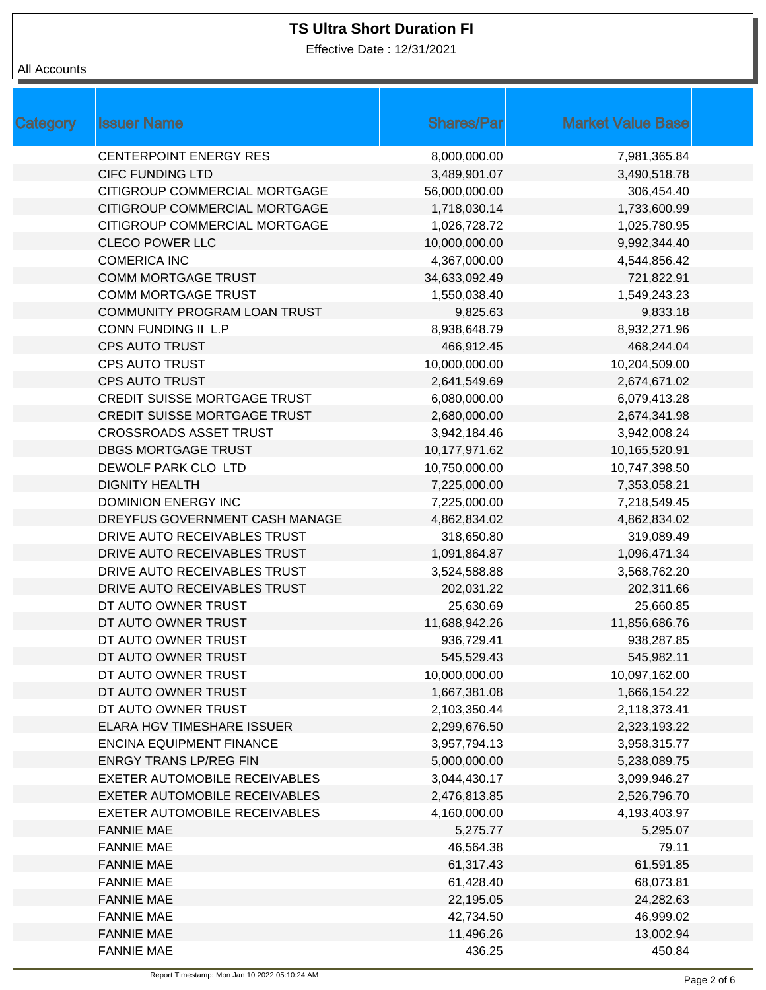Effective Date : 12/31/2021

| Category | <b>Issuer Name</b>                   | <b>Shares/Par</b> | <b>Market Value Base</b> |
|----------|--------------------------------------|-------------------|--------------------------|
|          | <b>CENTERPOINT ENERGY RES</b>        | 8,000,000.00      | 7,981,365.84             |
|          | <b>CIFC FUNDING LTD</b>              | 3,489,901.07      | 3,490,518.78             |
|          | CITIGROUP COMMERCIAL MORTGAGE        | 56,000,000.00     | 306,454.40               |
|          | CITIGROUP COMMERCIAL MORTGAGE        | 1,718,030.14      | 1,733,600.99             |
|          | CITIGROUP COMMERCIAL MORTGAGE        | 1,026,728.72      | 1,025,780.95             |
|          | <b>CLECO POWER LLC</b>               | 10,000,000.00     | 9,992,344.40             |
|          | <b>COMERICA INC</b>                  | 4,367,000.00      | 4,544,856.42             |
|          | <b>COMM MORTGAGE TRUST</b>           | 34,633,092.49     | 721,822.91               |
|          | <b>COMM MORTGAGE TRUST</b>           | 1,550,038.40      | 1,549,243.23             |
|          | COMMUNITY PROGRAM LOAN TRUST         | 9,825.63          | 9,833.18                 |
|          | CONN FUNDING II L.P                  | 8,938,648.79      | 8,932,271.96             |
|          | <b>CPS AUTO TRUST</b>                | 466,912.45        | 468,244.04               |
|          | <b>CPS AUTO TRUST</b>                | 10,000,000.00     | 10,204,509.00            |
|          | <b>CPS AUTO TRUST</b>                | 2,641,549.69      | 2,674,671.02             |
|          | <b>CREDIT SUISSE MORTGAGE TRUST</b>  | 6,080,000.00      | 6,079,413.28             |
|          | <b>CREDIT SUISSE MORTGAGE TRUST</b>  | 2,680,000.00      | 2,674,341.98             |
|          | <b>CROSSROADS ASSET TRUST</b>        | 3,942,184.46      | 3,942,008.24             |
|          | DBGS MORTGAGE TRUST                  | 10,177,971.62     | 10,165,520.91            |
|          | DEWOLF PARK CLO LTD                  | 10,750,000.00     | 10,747,398.50            |
|          | <b>DIGNITY HEALTH</b>                | 7,225,000.00      | 7,353,058.21             |
|          | DOMINION ENERGY INC                  | 7,225,000.00      | 7,218,549.45             |
|          | DREYFUS GOVERNMENT CASH MANAGE       | 4,862,834.02      | 4,862,834.02             |
|          | DRIVE AUTO RECEIVABLES TRUST         | 318,650.80        | 319,089.49               |
|          | DRIVE AUTO RECEIVABLES TRUST         | 1,091,864.87      | 1,096,471.34             |
|          | DRIVE AUTO RECEIVABLES TRUST         | 3,524,588.88      | 3,568,762.20             |
|          | DRIVE AUTO RECEIVABLES TRUST         | 202,031.22        | 202,311.66               |
|          | DT AUTO OWNER TRUST                  | 25,630.69         | 25,660.85                |
|          | DT AUTO OWNER TRUST                  | 11,688,942.26     | 11,856,686.76            |
|          | DT AUTO OWNER TRUST                  | 936,729.41        | 938,287.85               |
|          | DT AUTO OWNER TRUST                  | 545,529.43        | 545,982.11               |
|          | DT AUTO OWNER TRUST                  | 10,000,000.00     | 10,097,162.00            |
|          | DT AUTO OWNER TRUST                  | 1,667,381.08      | 1,666,154.22             |
|          | DT AUTO OWNER TRUST                  | 2,103,350.44      | 2,118,373.41             |
|          | ELARA HGV TIMESHARE ISSUER           | 2,299,676.50      | 2,323,193.22             |
|          | ENCINA EQUIPMENT FINANCE             | 3,957,794.13      | 3,958,315.77             |
|          | <b>ENRGY TRANS LP/REG FIN</b>        | 5,000,000.00      | 5,238,089.75             |
|          | EXETER AUTOMOBILE RECEIVABLES        | 3,044,430.17      | 3,099,946.27             |
|          | <b>EXETER AUTOMOBILE RECEIVABLES</b> | 2,476,813.85      | 2,526,796.70             |
|          | <b>EXETER AUTOMOBILE RECEIVABLES</b> | 4,160,000.00      | 4,193,403.97             |
|          | <b>FANNIE MAE</b>                    | 5,275.77          | 5,295.07                 |
|          | <b>FANNIE MAE</b>                    | 46,564.38         | 79.11                    |
|          | <b>FANNIE MAE</b>                    | 61,317.43         | 61,591.85                |
|          | <b>FANNIE MAE</b>                    | 61,428.40         | 68,073.81                |
|          | <b>FANNIE MAE</b>                    | 22,195.05         | 24,282.63                |
|          | <b>FANNIE MAE</b>                    | 42,734.50         | 46,999.02                |
|          | <b>FANNIE MAE</b>                    | 11,496.26         | 13,002.94                |
|          | <b>FANNIE MAE</b>                    | 436.25            | 450.84                   |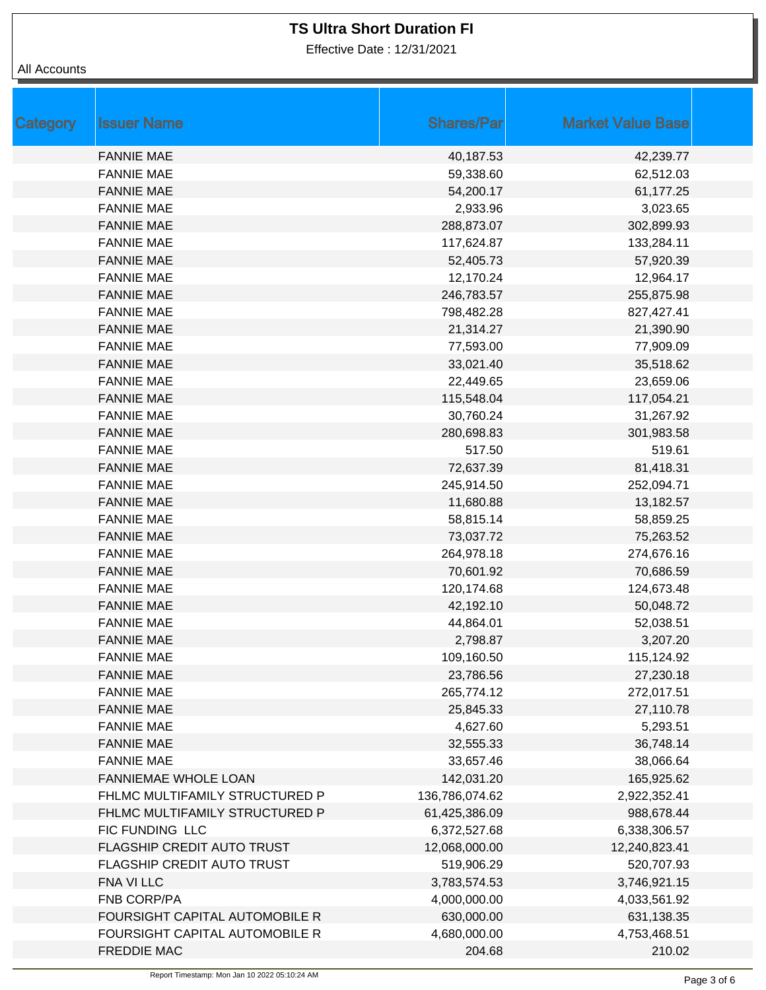Effective Date : 12/31/2021

| <b>Category</b> | <b>Issuer Name</b>             | <b>Shares/Par</b> | <b>Market Value Base</b> |  |
|-----------------|--------------------------------|-------------------|--------------------------|--|
|                 | <b>FANNIE MAE</b>              | 40,187.53         | 42,239.77                |  |
|                 | <b>FANNIE MAE</b>              | 59,338.60         | 62,512.03                |  |
|                 | <b>FANNIE MAE</b>              | 54,200.17         | 61,177.25                |  |
|                 | <b>FANNIE MAE</b>              | 2,933.96          | 3,023.65                 |  |
|                 | <b>FANNIE MAE</b>              | 288,873.07        | 302,899.93               |  |
|                 | <b>FANNIE MAE</b>              | 117,624.87        | 133,284.11               |  |
|                 | <b>FANNIE MAE</b>              | 52,405.73         | 57,920.39                |  |
|                 | <b>FANNIE MAE</b>              | 12,170.24         | 12,964.17                |  |
|                 | <b>FANNIE MAE</b>              | 246,783.57        | 255,875.98               |  |
|                 | <b>FANNIE MAE</b>              | 798,482.28        | 827,427.41               |  |
|                 | <b>FANNIE MAE</b>              | 21,314.27         | 21,390.90                |  |
|                 | <b>FANNIE MAE</b>              | 77,593.00         | 77,909.09                |  |
|                 | <b>FANNIE MAE</b>              | 33,021.40         | 35,518.62                |  |
|                 | <b>FANNIE MAE</b>              | 22,449.65         | 23,659.06                |  |
|                 | <b>FANNIE MAE</b>              | 115,548.04        | 117,054.21               |  |
|                 | <b>FANNIE MAE</b>              | 30,760.24         | 31,267.92                |  |
|                 | <b>FANNIE MAE</b>              | 280,698.83        | 301,983.58               |  |
|                 | <b>FANNIE MAE</b>              | 517.50            | 519.61                   |  |
|                 | <b>FANNIE MAE</b>              | 72,637.39         | 81,418.31                |  |
|                 | <b>FANNIE MAE</b>              | 245,914.50        | 252,094.71               |  |
|                 | <b>FANNIE MAE</b>              | 11,680.88         | 13,182.57                |  |
|                 | <b>FANNIE MAE</b>              | 58,815.14         | 58,859.25                |  |
|                 | <b>FANNIE MAE</b>              | 73,037.72         | 75,263.52                |  |
|                 | <b>FANNIE MAE</b>              | 264,978.18        | 274,676.16               |  |
|                 | <b>FANNIE MAE</b>              | 70,601.92         | 70,686.59                |  |
|                 | <b>FANNIE MAE</b>              | 120,174.68        | 124,673.48               |  |
|                 | <b>FANNIE MAE</b>              | 42,192.10         | 50,048.72                |  |
|                 | <b>FANNIE MAE</b>              | 44,864.01         | 52,038.51                |  |
|                 | <b>FANNIE MAE</b>              | 2,798.87          | 3,207.20                 |  |
|                 | <b>FANNIE MAE</b>              | 109,160.50        | 115,124.92               |  |
|                 | <b>FANNIE MAE</b>              | 23,786.56         | 27,230.18                |  |
|                 | <b>FANNIE MAE</b>              | 265,774.12        | 272,017.51               |  |
|                 | <b>FANNIE MAE</b>              | 25,845.33         | 27,110.78                |  |
|                 | <b>FANNIE MAE</b>              | 4,627.60          | 5,293.51                 |  |
|                 | <b>FANNIE MAE</b>              | 32,555.33         | 36,748.14                |  |
|                 | <b>FANNIE MAE</b>              | 33,657.46         | 38,066.64                |  |
|                 | FANNIEMAE WHOLE LOAN           | 142,031.20        | 165,925.62               |  |
|                 | FHLMC MULTIFAMILY STRUCTURED P | 136,786,074.62    | 2,922,352.41             |  |
|                 | FHLMC MULTIFAMILY STRUCTURED P | 61,425,386.09     | 988,678.44               |  |
|                 | FIC FUNDING LLC                | 6,372,527.68      | 6,338,306.57             |  |
|                 | FLAGSHIP CREDIT AUTO TRUST     | 12,068,000.00     | 12,240,823.41            |  |
|                 | FLAGSHIP CREDIT AUTO TRUST     | 519,906.29        | 520,707.93               |  |
|                 | FNA VI LLC                     | 3,783,574.53      | 3,746,921.15             |  |
|                 | FNB CORP/PA                    | 4,000,000.00      | 4,033,561.92             |  |
|                 | FOURSIGHT CAPITAL AUTOMOBILE R | 630,000.00        | 631,138.35               |  |
|                 | FOURSIGHT CAPITAL AUTOMOBILE R | 4,680,000.00      | 4,753,468.51             |  |
|                 | <b>FREDDIE MAC</b>             | 204.68            | 210.02                   |  |
|                 |                                |                   |                          |  |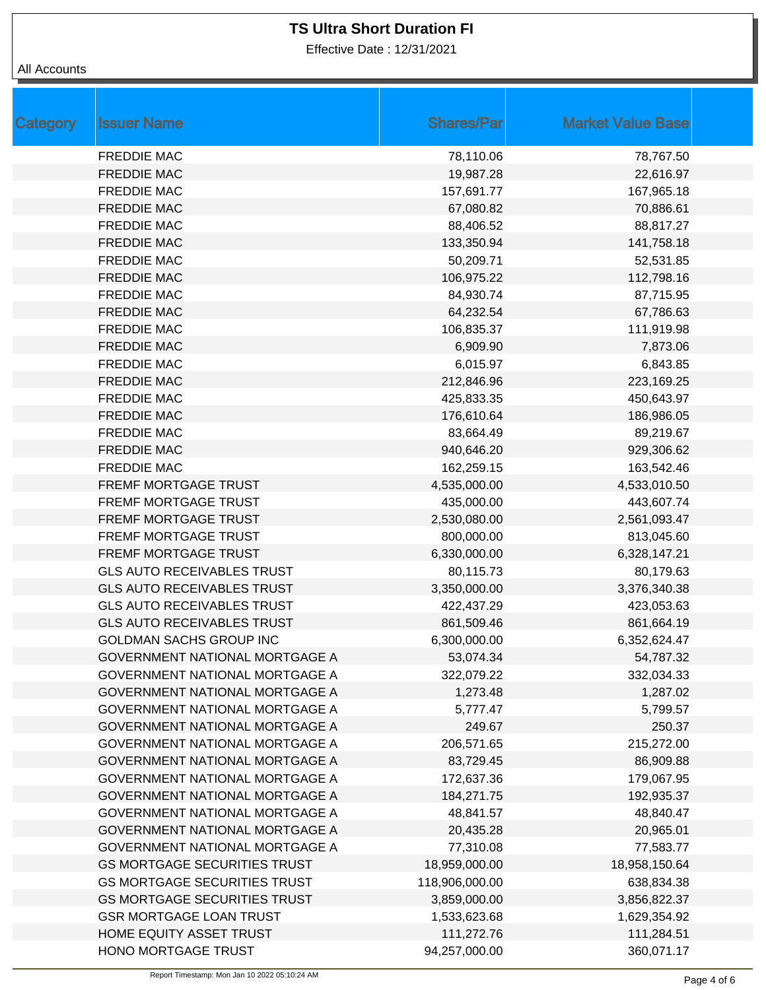Effective Date : 12/31/2021

| Category | <b>Issuer Name</b>                    | <b>Shares/Par</b> | <b>Market Value Base</b> |
|----------|---------------------------------------|-------------------|--------------------------|
|          | <b>FREDDIE MAC</b>                    | 78,110.06         | 78,767.50                |
|          | <b>FREDDIE MAC</b>                    | 19,987.28         | 22,616.97                |
|          | <b>FREDDIE MAC</b>                    | 157,691.77        | 167,965.18               |
|          | <b>FREDDIE MAC</b>                    | 67,080.82         | 70,886.61                |
|          | <b>FREDDIE MAC</b>                    | 88,406.52         | 88,817.27                |
|          | <b>FREDDIE MAC</b>                    | 133,350.94        | 141,758.18               |
|          | <b>FREDDIE MAC</b>                    | 50,209.71         | 52,531.85                |
|          | <b>FREDDIE MAC</b>                    | 106,975.22        | 112,798.16               |
|          | <b>FREDDIE MAC</b>                    | 84,930.74         | 87,715.95                |
|          | <b>FREDDIE MAC</b>                    | 64,232.54         | 67,786.63                |
|          | <b>FREDDIE MAC</b>                    | 106,835.37        | 111,919.98               |
|          | <b>FREDDIE MAC</b>                    | 6,909.90          | 7,873.06                 |
|          | <b>FREDDIE MAC</b>                    | 6,015.97          | 6,843.85                 |
|          | <b>FREDDIE MAC</b>                    | 212,846.96        | 223,169.25               |
|          | <b>FREDDIE MAC</b>                    | 425,833.35        | 450,643.97               |
|          | <b>FREDDIE MAC</b>                    | 176,610.64        | 186,986.05               |
|          | <b>FREDDIE MAC</b>                    | 83,664.49         | 89,219.67                |
|          | <b>FREDDIE MAC</b>                    | 940,646.20        | 929,306.62               |
|          | <b>FREDDIE MAC</b>                    | 162,259.15        | 163,542.46               |
|          | FREMF MORTGAGE TRUST                  | 4,535,000.00      | 4,533,010.50             |
|          | FREMF MORTGAGE TRUST                  | 435,000.00        | 443,607.74               |
|          | FREMF MORTGAGE TRUST                  | 2,530,080.00      | 2,561,093.47             |
|          | FREMF MORTGAGE TRUST                  | 800,000.00        | 813,045.60               |
|          | FREMF MORTGAGE TRUST                  | 6,330,000.00      | 6,328,147.21             |
|          | <b>GLS AUTO RECEIVABLES TRUST</b>     | 80,115.73         | 80,179.63                |
|          | <b>GLS AUTO RECEIVABLES TRUST</b>     | 3,350,000.00      | 3,376,340.38             |
|          | <b>GLS AUTO RECEIVABLES TRUST</b>     | 422,437.29        | 423,053.63               |
|          | <b>GLS AUTO RECEIVABLES TRUST</b>     | 861,509.46        | 861,664.19               |
|          | <b>GOLDMAN SACHS GROUP INC</b>        | 6,300,000.00      | 6,352,624.47             |
|          | <b>GOVERNMENT NATIONAL MORTGAGE A</b> | 53,074.34         | 54,787.32                |
|          | <b>GOVERNMENT NATIONAL MORTGAGE A</b> | 322,079.22        | 332,034.33               |
|          | <b>GOVERNMENT NATIONAL MORTGAGE A</b> | 1,273.48          | 1,287.02                 |
|          | GOVERNMENT NATIONAL MORTGAGE A        | 5,777.47          | 5,799.57                 |
|          | GOVERNMENT NATIONAL MORTGAGE A        | 249.67            | 250.37                   |
|          | GOVERNMENT NATIONAL MORTGAGE A        | 206,571.65        | 215,272.00               |
|          | GOVERNMENT NATIONAL MORTGAGE A        | 83,729.45         | 86,909.88                |
|          | <b>GOVERNMENT NATIONAL MORTGAGE A</b> | 172,637.36        | 179,067.95               |
|          | <b>GOVERNMENT NATIONAL MORTGAGE A</b> | 184,271.75        | 192,935.37               |
|          | GOVERNMENT NATIONAL MORTGAGE A        | 48,841.57         | 48,840.47                |
|          | <b>GOVERNMENT NATIONAL MORTGAGE A</b> | 20,435.28         | 20,965.01                |
|          | GOVERNMENT NATIONAL MORTGAGE A        | 77,310.08         | 77,583.77                |
|          | <b>GS MORTGAGE SECURITIES TRUST</b>   | 18,959,000.00     | 18,958,150.64            |
|          | <b>GS MORTGAGE SECURITIES TRUST</b>   | 118,906,000.00    | 638,834.38               |
|          | <b>GS MORTGAGE SECURITIES TRUST</b>   | 3,859,000.00      | 3,856,822.37             |
|          | <b>GSR MORTGAGE LOAN TRUST</b>        | 1,533,623.68      | 1,629,354.92             |
|          | HOME EQUITY ASSET TRUST               | 111,272.76        | 111,284.51               |
|          | HONO MORTGAGE TRUST                   | 94,257,000.00     | 360,071.17               |
|          |                                       |                   |                          |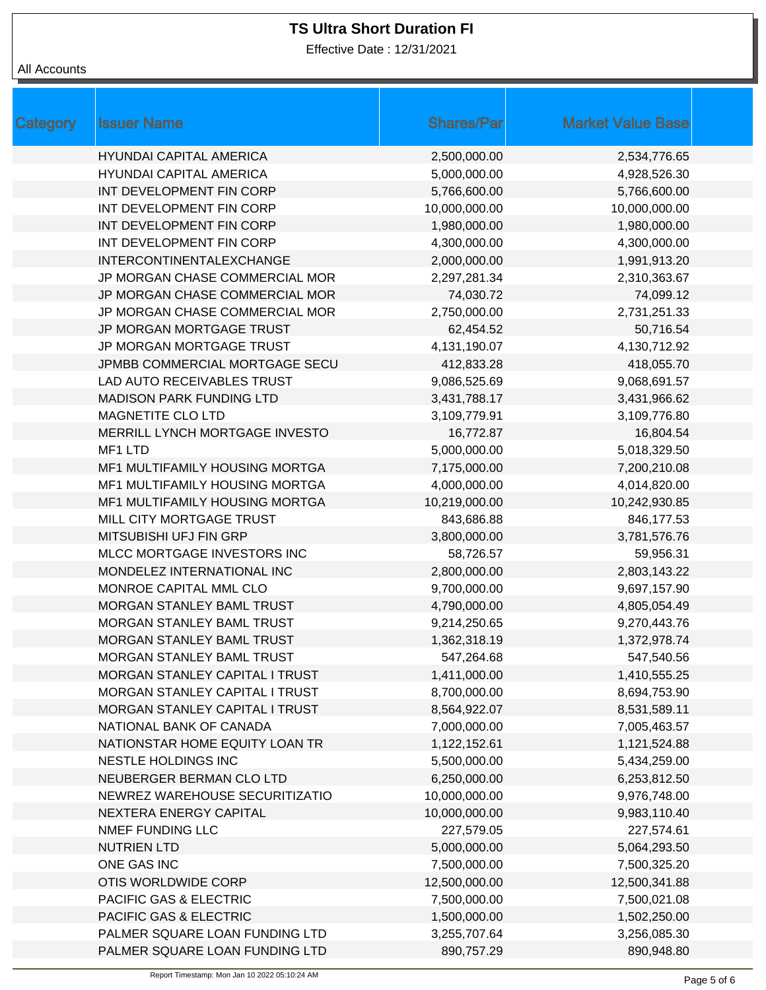Effective Date : 12/31/2021

| Category | <b>Issuer Name</b>              | <b>Shares/Par</b> | <b>Market Value Base</b> |
|----------|---------------------------------|-------------------|--------------------------|
|          | <b>HYUNDAI CAPITAL AMERICA</b>  | 2,500,000.00      |                          |
|          | <b>HYUNDAI CAPITAL AMERICA</b>  |                   | 2,534,776.65             |
|          |                                 | 5,000,000.00      | 4,928,526.30             |
|          | INT DEVELOPMENT FIN CORP        | 5,766,600.00      | 5,766,600.00             |
|          | INT DEVELOPMENT FIN CORP        | 10,000,000.00     | 10,000,000.00            |
|          | INT DEVELOPMENT FIN CORP        | 1,980,000.00      | 1,980,000.00             |
|          | INT DEVELOPMENT FIN CORP        | 4,300,000.00      | 4,300,000.00             |
|          | INTERCONTINENTALEXCHANGE        | 2,000,000.00      | 1,991,913.20             |
|          | JP MORGAN CHASE COMMERCIAL MOR  | 2,297,281.34      | 2,310,363.67             |
|          | JP MORGAN CHASE COMMERCIAL MOR  | 74,030.72         | 74,099.12                |
|          | JP MORGAN CHASE COMMERCIAL MOR  | 2,750,000.00      | 2,731,251.33             |
|          | JP MORGAN MORTGAGE TRUST        | 62,454.52         | 50,716.54                |
|          | JP MORGAN MORTGAGE TRUST        | 4,131,190.07      | 4,130,712.92             |
|          | JPMBB COMMERCIAL MORTGAGE SECU  | 412,833.28        | 418,055.70               |
|          | LAD AUTO RECEIVABLES TRUST      | 9,086,525.69      | 9,068,691.57             |
|          | <b>MADISON PARK FUNDING LTD</b> | 3,431,788.17      | 3,431,966.62             |
|          | MAGNETITE CLO LTD               | 3,109,779.91      | 3,109,776.80             |
|          | MERRILL LYNCH MORTGAGE INVESTO  | 16,772.87         | 16,804.54                |
|          | MF1 LTD                         | 5,000,000.00      | 5,018,329.50             |
|          | MF1 MULTIFAMILY HOUSING MORTGA  | 7,175,000.00      | 7,200,210.08             |
|          | MF1 MULTIFAMILY HOUSING MORTGA  | 4,000,000.00      | 4,014,820.00             |
|          | MF1 MULTIFAMILY HOUSING MORTGA  | 10,219,000.00     | 10,242,930.85            |
|          | MILL CITY MORTGAGE TRUST        | 843,686.88        | 846,177.53               |
|          | MITSUBISHI UFJ FIN GRP          | 3,800,000.00      | 3,781,576.76             |
|          | MLCC MORTGAGE INVESTORS INC     | 58,726.57         | 59,956.31                |
|          | MONDELEZ INTERNATIONAL INC      | 2,800,000.00      | 2,803,143.22             |
|          | MONROE CAPITAL MML CLO          | 9,700,000.00      | 9,697,157.90             |
|          | MORGAN STANLEY BAML TRUST       | 4,790,000.00      | 4,805,054.49             |
|          | MORGAN STANLEY BAML TRUST       | 9,214,250.65      | 9,270,443.76             |
|          | MORGAN STANLEY BAML TRUST       | 1,362,318.19      | 1,372,978.74             |
|          | MORGAN STANLEY BAML TRUST       | 547,264.68        | 547,540.56               |
|          | MORGAN STANLEY CAPITAL I TRUST  | 1,411,000.00      | 1,410,555.25             |
|          | MORGAN STANLEY CAPITAL I TRUST  | 8,700,000.00      | 8,694,753.90             |
|          | MORGAN STANLEY CAPITAL I TRUST  | 8,564,922.07      | 8,531,589.11             |
|          | NATIONAL BANK OF CANADA         | 7,000,000.00      | 7,005,463.57             |
|          | NATIONSTAR HOME EQUITY LOAN TR  | 1,122,152.61      | 1,121,524.88             |
|          | NESTLE HOLDINGS INC             | 5,500,000.00      | 5,434,259.00             |
|          | NEUBERGER BERMAN CLO LTD        | 6,250,000.00      | 6,253,812.50             |
|          | NEWREZ WAREHOUSE SECURITIZATIO  | 10,000,000.00     | 9,976,748.00             |
|          | NEXTERA ENERGY CAPITAL          | 10,000,000.00     | 9,983,110.40             |
|          | NMEF FUNDING LLC                | 227,579.05        | 227,574.61               |
|          | <b>NUTRIEN LTD</b>              | 5,000,000.00      | 5,064,293.50             |
|          | ONE GAS INC                     | 7,500,000.00      | 7,500,325.20             |
|          | OTIS WORLDWIDE CORP             | 12,500,000.00     | 12,500,341.88            |
|          | PACIFIC GAS & ELECTRIC          | 7,500,000.00      | 7,500,021.08             |
|          | PACIFIC GAS & ELECTRIC          | 1,500,000.00      | 1,502,250.00             |
|          | PALMER SQUARE LOAN FUNDING LTD  | 3,255,707.64      | 3,256,085.30             |
|          | PALMER SQUARE LOAN FUNDING LTD  | 890,757.29        | 890,948.80               |
|          |                                 |                   |                          |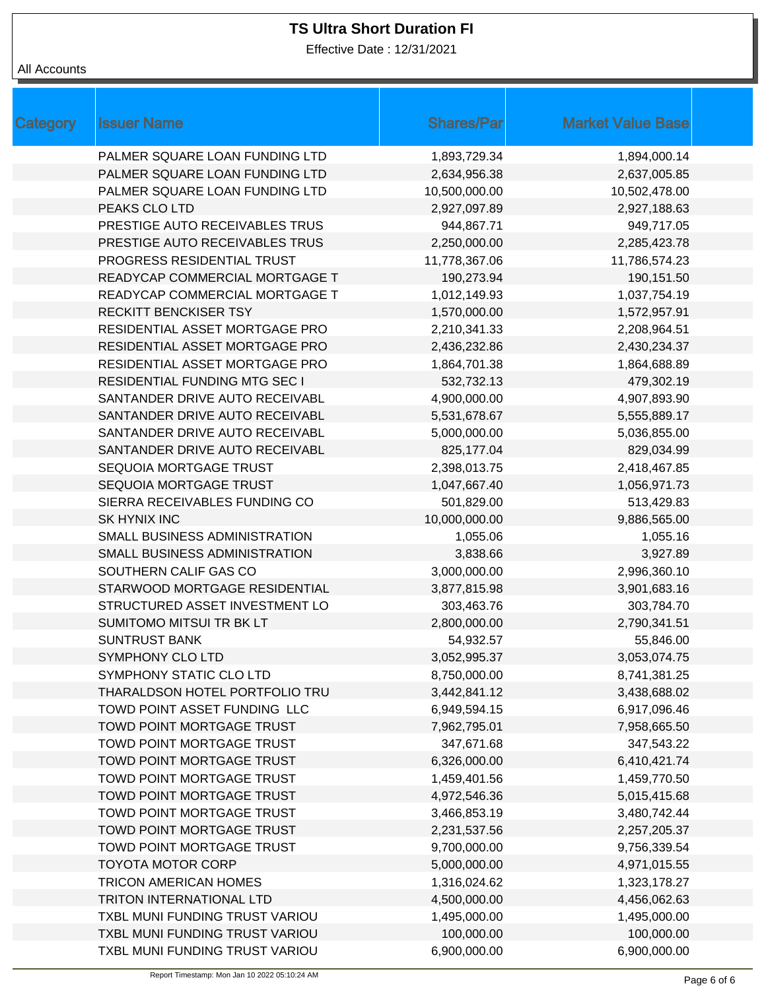Effective Date : 12/31/2021

| Category | <b>Issuer Name</b>                   | <b>Shares/Par</b> | <b>Market Value Base</b> |  |
|----------|--------------------------------------|-------------------|--------------------------|--|
|          |                                      |                   |                          |  |
|          | PALMER SQUARE LOAN FUNDING LTD       | 1,893,729.34      | 1,894,000.14             |  |
|          | PALMER SQUARE LOAN FUNDING LTD       | 2,634,956.38      | 2,637,005.85             |  |
|          | PALMER SQUARE LOAN FUNDING LTD       | 10,500,000.00     | 10,502,478.00            |  |
|          | PEAKS CLO LTD                        | 2,927,097.89      | 2,927,188.63             |  |
|          | PRESTIGE AUTO RECEIVABLES TRUS       | 944,867.71        | 949,717.05               |  |
|          | PRESTIGE AUTO RECEIVABLES TRUS       | 2,250,000.00      | 2,285,423.78             |  |
|          | PROGRESS RESIDENTIAL TRUST           | 11,778,367.06     | 11,786,574.23            |  |
|          | READYCAP COMMERCIAL MORTGAGE T       | 190,273.94        | 190,151.50               |  |
|          | READYCAP COMMERCIAL MORTGAGE T       | 1,012,149.93      | 1,037,754.19             |  |
|          | RECKITT BENCKISER TSY                | 1,570,000.00      | 1,572,957.91             |  |
|          | RESIDENTIAL ASSET MORTGAGE PRO       | 2,210,341.33      | 2,208,964.51             |  |
|          | RESIDENTIAL ASSET MORTGAGE PRO       | 2,436,232.86      | 2,430,234.37             |  |
|          | RESIDENTIAL ASSET MORTGAGE PRO       | 1,864,701.38      | 1,864,688.89             |  |
|          | <b>RESIDENTIAL FUNDING MTG SEC I</b> | 532,732.13        | 479,302.19               |  |
|          | SANTANDER DRIVE AUTO RECEIVABL       | 4,900,000.00      | 4,907,893.90             |  |
|          | SANTANDER DRIVE AUTO RECEIVABL       | 5,531,678.67      | 5,555,889.17             |  |
|          | SANTANDER DRIVE AUTO RECEIVABL       | 5,000,000.00      | 5,036,855.00             |  |
|          | SANTANDER DRIVE AUTO RECEIVABL       | 825,177.04        | 829,034.99               |  |
|          | SEQUOIA MORTGAGE TRUST               | 2,398,013.75      | 2,418,467.85             |  |
|          | SEQUOIA MORTGAGE TRUST               | 1,047,667.40      | 1,056,971.73             |  |
|          | SIERRA RECEIVABLES FUNDING CO        | 501,829.00        | 513,429.83               |  |
|          | <b>SK HYNIX INC</b>                  | 10,000,000.00     | 9,886,565.00             |  |
|          | SMALL BUSINESS ADMINISTRATION        | 1,055.06          | 1,055.16                 |  |
|          | SMALL BUSINESS ADMINISTRATION        | 3,838.66          | 3,927.89                 |  |
|          | SOUTHERN CALIF GAS CO                | 3,000,000.00      | 2,996,360.10             |  |
|          | STARWOOD MORTGAGE RESIDENTIAL        | 3,877,815.98      | 3,901,683.16             |  |
|          | STRUCTURED ASSET INVESTMENT LO       | 303,463.76        | 303,784.70               |  |
|          | SUMITOMO MITSUI TR BK LT             | 2,800,000.00      | 2,790,341.51             |  |
|          | <b>SUNTRUST BANK</b>                 | 54,932.57         | 55,846.00                |  |
|          | SYMPHONY CLO LTD                     | 3,052,995.37      | 3,053,074.75             |  |
|          | SYMPHONY STATIC CLO LTD              | 8,750,000.00      | 8,741,381.25             |  |
|          | THARALDSON HOTEL PORTFOLIO TRU       | 3,442,841.12      | 3,438,688.02             |  |
|          | TOWD POINT ASSET FUNDING LLC         | 6,949,594.15      | 6,917,096.46             |  |
|          | TOWD POINT MORTGAGE TRUST            | 7,962,795.01      | 7,958,665.50             |  |
|          | TOWD POINT MORTGAGE TRUST            | 347,671.68        | 347,543.22               |  |
|          | TOWD POINT MORTGAGE TRUST            | 6,326,000.00      | 6,410,421.74             |  |
|          | TOWD POINT MORTGAGE TRUST            | 1,459,401.56      | 1,459,770.50             |  |
|          | TOWD POINT MORTGAGE TRUST            | 4,972,546.36      | 5,015,415.68             |  |
|          | TOWD POINT MORTGAGE TRUST            | 3,466,853.19      | 3,480,742.44             |  |
|          | TOWD POINT MORTGAGE TRUST            | 2,231,537.56      | 2,257,205.37             |  |
|          | TOWD POINT MORTGAGE TRUST            | 9,700,000.00      | 9,756,339.54             |  |
|          | <b>TOYOTA MOTOR CORP</b>             | 5,000,000.00      | 4,971,015.55             |  |
|          | <b>TRICON AMERICAN HOMES</b>         | 1,316,024.62      | 1,323,178.27             |  |
|          | <b>TRITON INTERNATIONAL LTD</b>      | 4,500,000.00      | 4,456,062.63             |  |
|          | TXBL MUNI FUNDING TRUST VARIOU       | 1,495,000.00      | 1,495,000.00             |  |
|          | TXBL MUNI FUNDING TRUST VARIOU       | 100,000.00        | 100,000.00               |  |
|          | TXBL MUNI FUNDING TRUST VARIOU       | 6,900,000.00      | 6,900,000.00             |  |
|          |                                      |                   |                          |  |